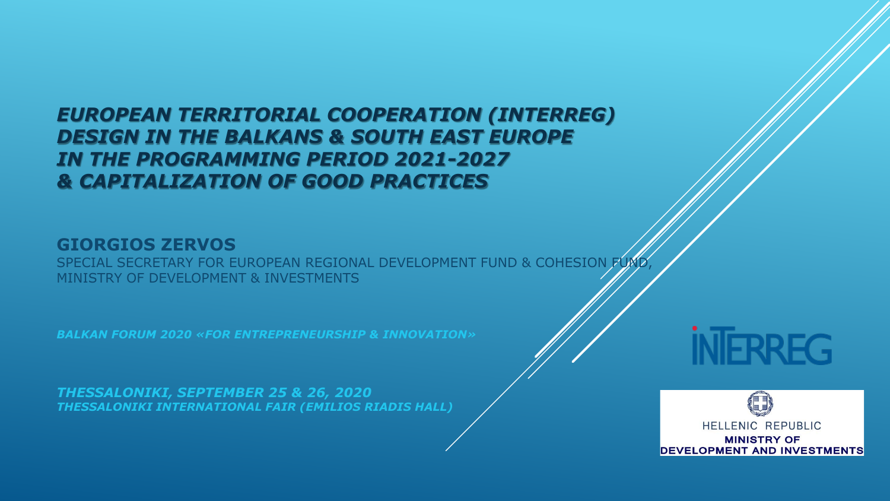### *EUROPEAN TERRITORIAL COOPERATION (INTERREG) DESIGN IN THE BALKANS & SOUTH EAST EUROPE IN THE PROGRAMMING PERIOD 2021-2027 & CAPITALIZATION OF GOOD PRACTICES*

#### **GIORGIOS ZERVOS**

SPECIAL SECRETARY FOR EUROPEAN REGIONAL DEVELOPMENT FUND & COHESION FUM MINISTRY OF DEVELOPMENT & INVESTMENTS

*BALKAN FORUM 2020 «FOR ENTREPRENEURSHIP & INNOVATION»* 

*THESSALONIKI, SEPTEMBER 25 & 26, 2020 THESSALONIKI INTERNATIONAL FAIR (EMILIOS RIADIS HALL)* 



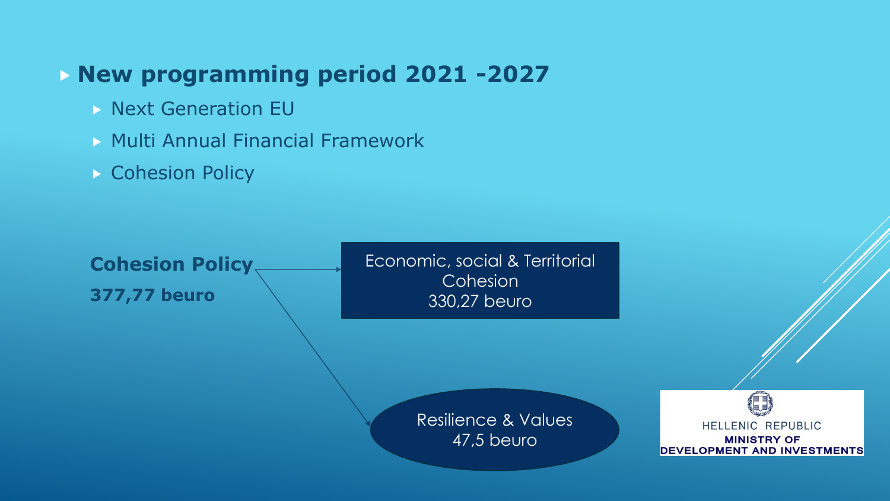# **New programming period 2021 -2027**

- $\triangleright$  Next Generation EU
- **Multi Annual Financial Framework**
- **Cohesion Policy**

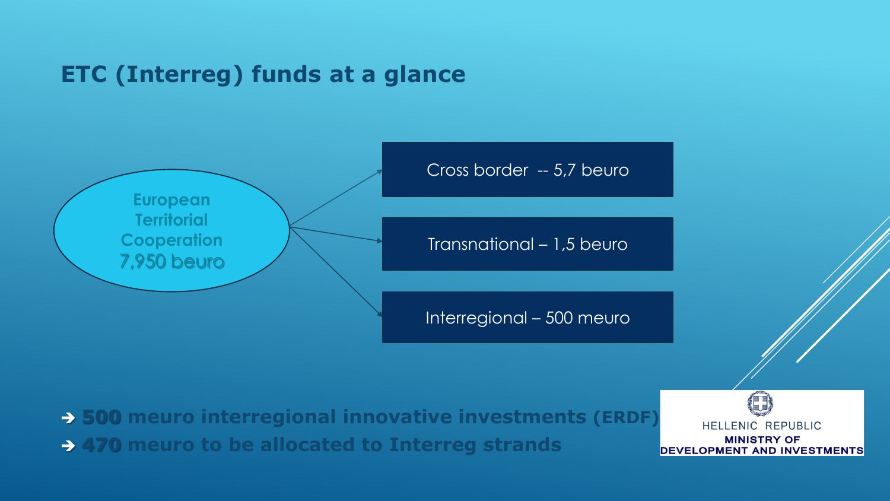## **ETC (Interreg) funds at a glance**



- **500 meuro interregional innovative investments (ERDF)**
- **470 meuro to be allocated to Interreg strands**

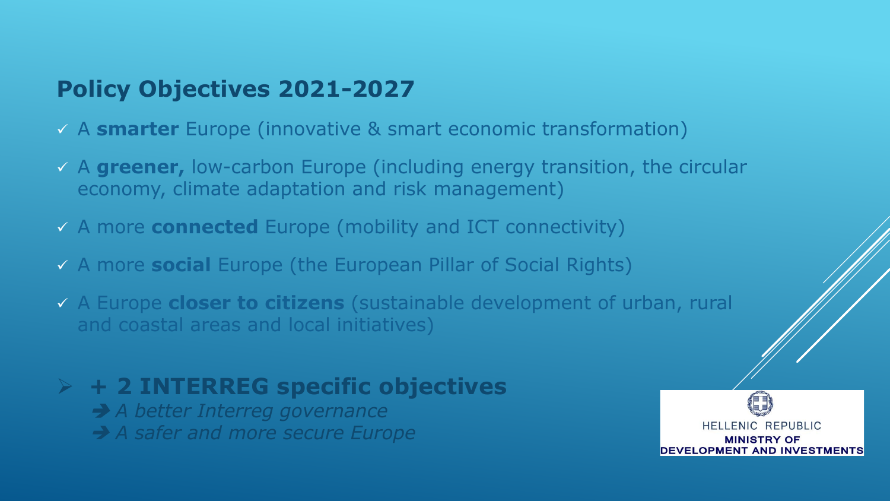# **Policy Objectives 2021-2027**

- A **smarter** Europe (innovative & smart economic transformation)
- A **greener,** low-carbon Europe (including energy transition, the circular economy, climate adaptation and risk management)
- A more **connected** Europe (mobility and ICT connectivity)
- A more **social** Europe (the European Pillar of Social Rights)
- A Europe **closer to citizens** (sustainable development of urban, rural and coastal areas and local initiatives)

# **+ 2 INTERREG specific objectives**

- *A better Interreg governance*
- **→ A safer and more secure Europe**

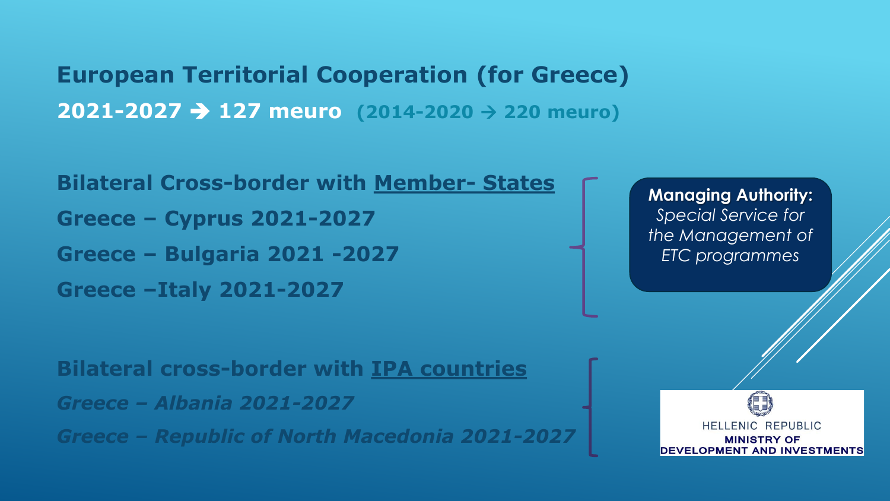**European Territorial Cooperation (for Greece) 2021-2027 127 meuro (2014-2020 220 meuro)**

**Bilateral Cross-border with Member- States Greece – Cyprus 2021-2027 Greece – Bulgaria 2021 -2027 Greece –Italy 2021-2027** 

**Bilateral cross-border with IPA countries** 

*Greece – Albania 2021-2027* 

*Greece – Republic of North Macedonia 2021-2027* 

**Managing Authority:**  *Special Service for the Management of ETC programmes*

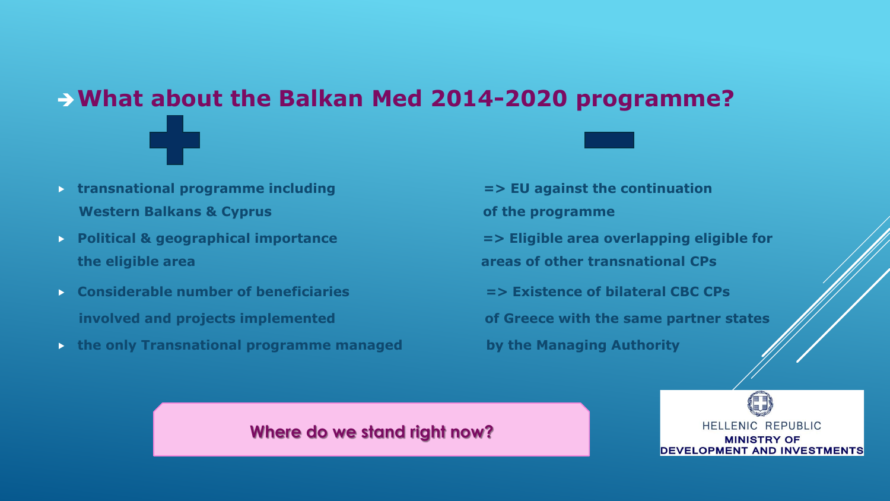# **What about the Balkan Med 2014-2020 programme?**

- **transnational programme including => EU against the continuation Western Balkans & Cyprus Community Community Community Community Community Community Community Community Community Community Community Community Community Community Community Community Community Community Community Commun**
- **the eligible area areas of other transnational CPs**
- **Considerable number of beneficiaries => Existence of bilateral CBC CPs**
- **the only Transnational programme managed by the Managing Authority**

**Political & geographical importance**  $\blacksquare$  **> Eligible area overlapping eligible for involved and projects implemented of Greece with the same partner states**

#### **Where do we stand right now?**

HELLENIC REPUBLIC **MINISTRY OF DEVELOPMENT AND INVESTMENTS**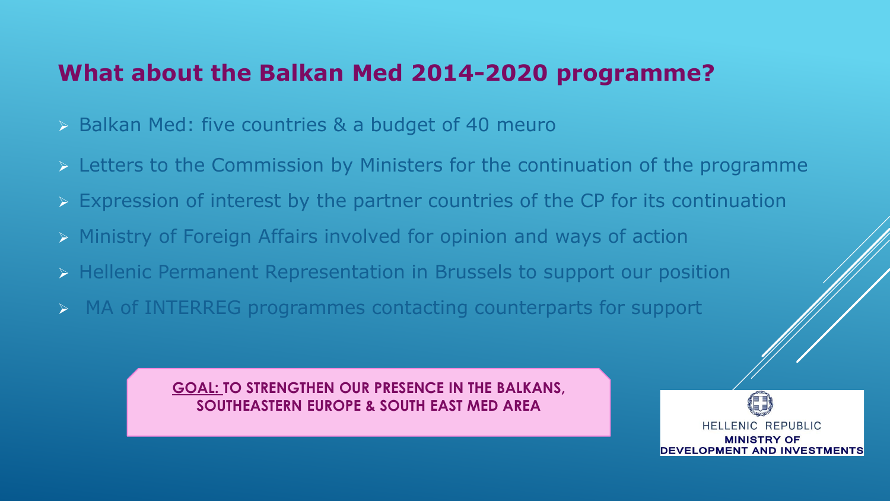## **What about the Balkan Med 2014-2020 programme?**

- $\triangleright$  Balkan Med: five countries & a budget of 40 meuro
- $\triangleright$  Letters to the Commission by Ministers for the continuation of the programme
- Expression of interest by the partner countries of the CP for its continuation
- Ministry of Foreign Affairs involved for opinion and ways of action
- **EXT** Hellenic Permanent Representation in Brussels to support our position
- MA of INTERREG programmes contacting counterparts for support

**GOAL: TO STRENGTHEN OUR PRESENCE IN THE BALKANS, SOUTHEASTERN EUROPE & SOUTH EAST MED AREA** 

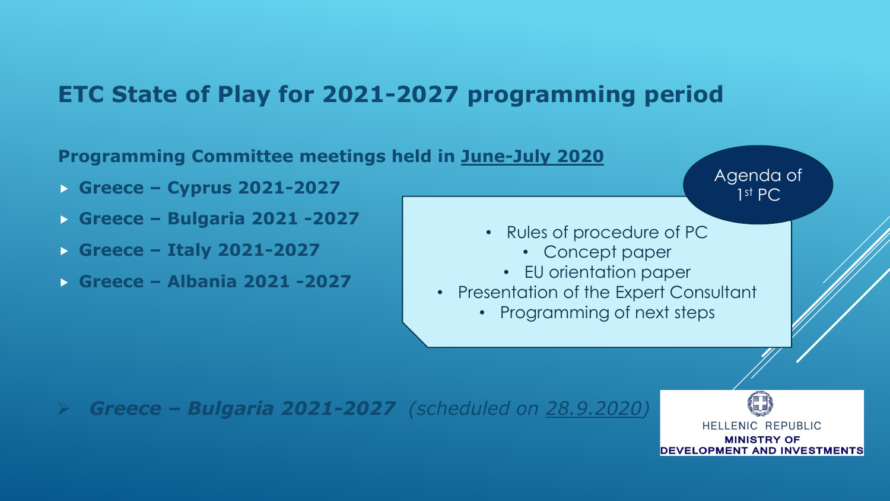# **ETC State of Play for 2021-2027 programming period**



HELLENIC REPUBLIC **MINISTRY OF DEVELOPMENT AND INVESTMENTS**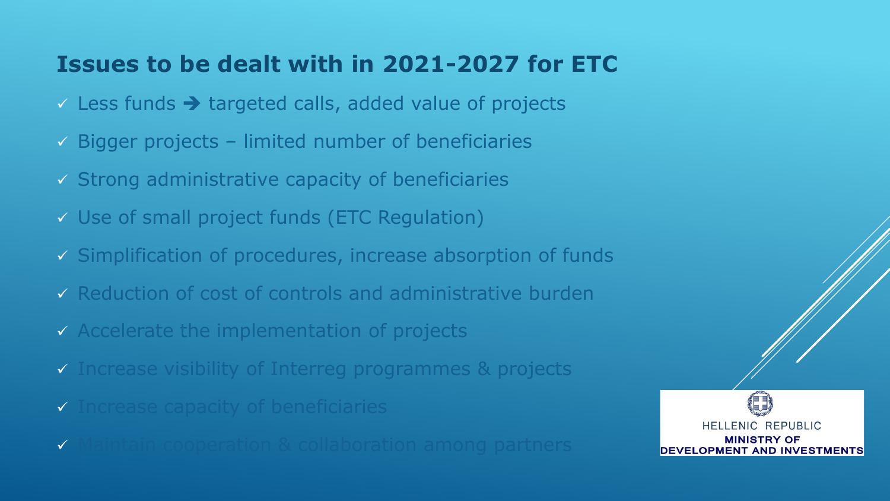## **Issues to be dealt with in 2021-2027 for ETC**

- $\checkmark$  Less funds  $\rightarrow$  targeted calls, added value of projects
- $\checkmark$  Bigger projects limited number of beneficiaries
- $\checkmark$  Strong administrative capacity of beneficiaries
- Use of small project funds (ETC Regulation)
- $\checkmark$  Simplification of procedures, increase absorption of funds
- $\checkmark$  Reduction of cost of controls and administrative burden
- Accelerate the implementation of projects
- Increase visibility of Interreg programmes & projects
- $\checkmark$  Increase capacity of beneficiaries
- $\checkmark$  Maintain cooperation & collaboration among partners